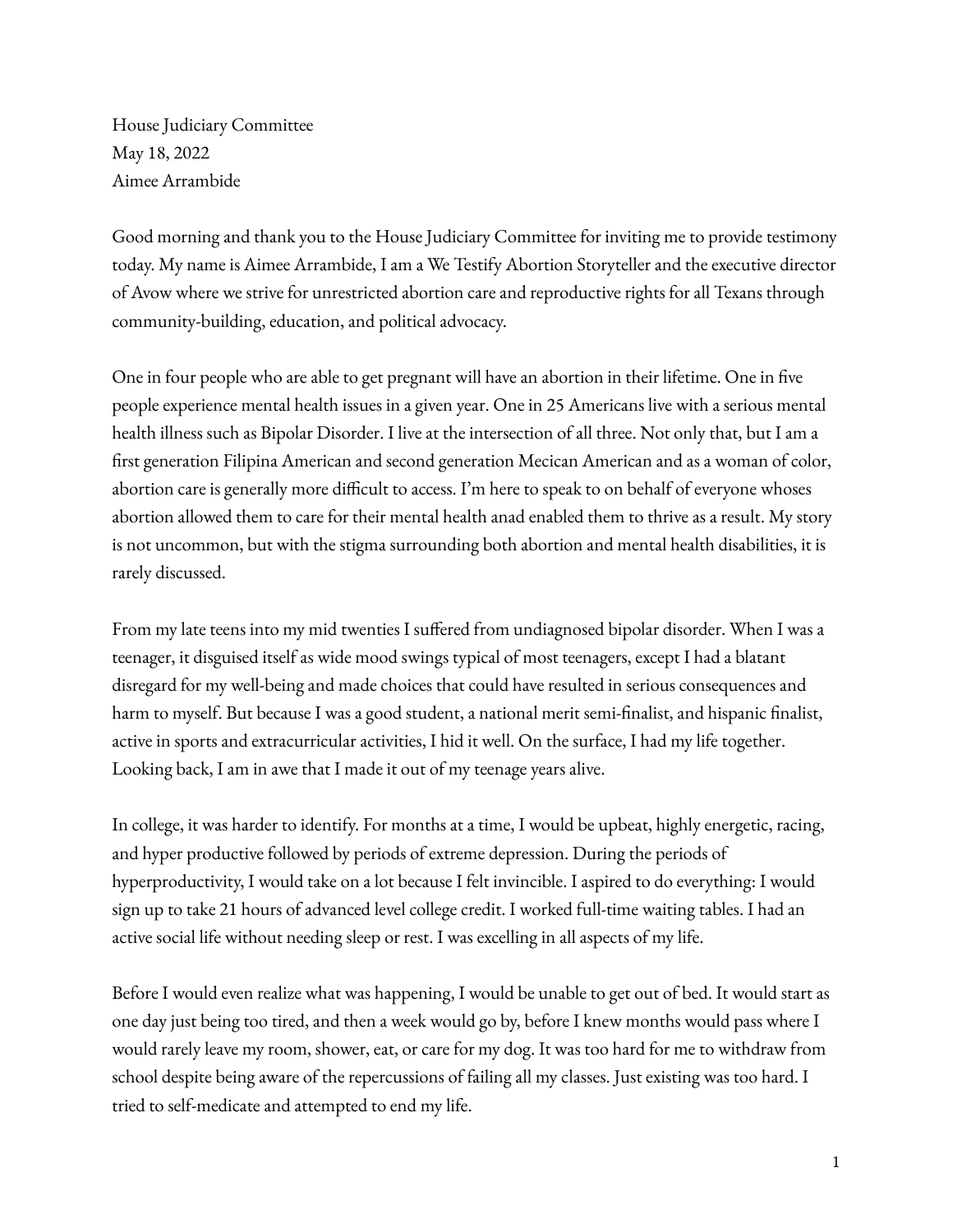House Judiciary Committee May 18, 2022 Aimee Arrambide

Good morning and thank you to the House Judiciary Committee for inviting me to provide testimony today. My name is Aimee Arrambide, I am a We Testify Abortion Storyteller and the executive director of Avow where we strive for unrestricted abortion care and reproductive rights for all Texans through community-building, education, and political advocacy.

One in four people who are able to get pregnant will have an abortion in their lifetime. One in five people experience mental health issues in a given year. One in 25 Americans live with a serious mental health illness such as Bipolar Disorder. I live at the intersection of all three. Not only that, but I am a first generation Filipina American and second generation Mecican American and as a woman of color, abortion care is generally more difficult to access. I'm here to speak to on behalf of everyone whoses abortion allowed them to care for their mental health anad enabled them to thrive as a result. My story is not uncommon, but with the stigma surrounding both abortion and mental health disabilities, it is rarely discussed.

From my late teens into my mid twenties I suffered from undiagnosed bipolar disorder. When I was a teenager, it disguised itself as wide mood swings typical of most teenagers, except I had a blatant disregard for my well-being and made choices that could have resulted in serious consequences and harm to myself. But because I was a good student, a national merit semi-finalist, and hispanic finalist, active in sports and extracurricular activities, I hid it well. On the surface, I had my life together. Looking back, I am in awe that I made it out of my teenage years alive.

In college, it was harder to identify. For months at a time, I would be upbeat, highly energetic, racing, and hyper productive followed by periods of extreme depression. During the periods of hyperproductivity, I would take on a lot because I felt invincible. I aspired to do everything: I would sign up to take 21 hours of advanced level college credit. I worked full-time waiting tables. I had an active social life without needing sleep or rest. I was excelling in all aspects of my life.

Before I would even realize what was happening, I would be unable to get out of bed. It would start as one day just being too tired, and then a week would go by, before I knew months would pass where I would rarely leave my room, shower, eat, or care for my dog. It was too hard for me to withdraw from school despite being aware of the repercussions of failing all my classes. Just existing was too hard. I tried to self-medicate and attempted to end my life.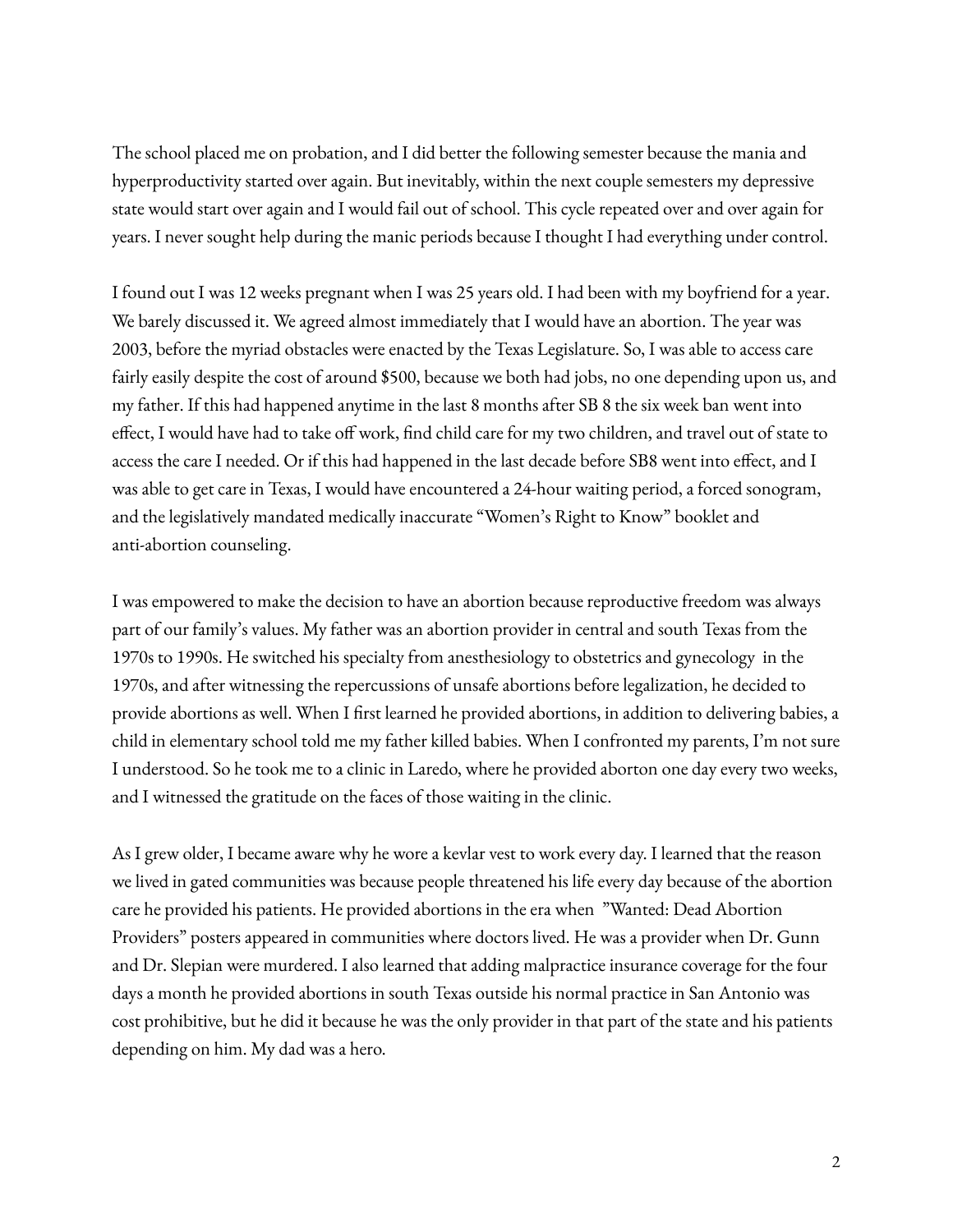The school placed me on probation, and I did better the following semester because the mania and hyperproductivity started over again. But inevitably, within the next couple semesters my depressive state would start over again and I would fail out of school. This cycle repeated over and over again for years. I never sought help during the manic periods because I thought I had everything under control.

I found out I was 12 weeks pregnant when I was 25 years old. I had been with my boyfriend for a year. We barely discussed it. We agreed almost immediately that I would have an abortion. The year was 2003, before the myriad obstacles were enacted by the Texas Legislature. So, I was able to access care fairly easily despite the cost of around \$500, because we both had jobs, no one depending upon us, and my father. If this had happened anytime in the last 8 months after SB 8 the six week ban went into effect, I would have had to take off work, find child care for my two children, and travel out of state to access the care I needed. Or if this had happened in the last decade before SB8 went into effect, and I was able to get care in Texas, I would have encountered a 24-hour waiting period, a forced sonogram, and the legislatively mandated medically inaccurate "Women's Right to Know" booklet and anti-abortion counseling.

I was empowered to make the decision to have an abortion because reproductive freedom was always part of our family's values. My father was an abortion provider in central and south Texas from the 1970s to 1990s. He switched his specialty from anesthesiology to obstetrics and gynecology in the 1970s, and after witnessing the repercussions of unsafe abortions before legalization, he decided to provide abortions as well. When I first learned he provided abortions, in addition to delivering babies, a child in elementary school told me my father killed babies. When I confronted my parents, I'm not sure I understood. So he took me to a clinic in Laredo, where he provided aborton one day every two weeks, and I witnessed the gratitude on the faces of those waiting in the clinic.

As I grew older, I became aware why he wore a kevlar vest to work every day. I learned that the reason we lived in gated communities was because people threatened his life every day because of the abortion care he provided his patients. He provided abortions in the era when "Wanted: Dead Abortion Providers" posters appeared in communities where doctors lived. He was a provider when Dr. Gunn and Dr. Slepian were murdered. I also learned that adding malpractice insurance coverage for the four days a month he provided abortions in south Texas outside his normal practice in San Antonio was cost prohibitive, but he did it because he was the only provider in that part of the state and his patients depending on him. My dad was a hero.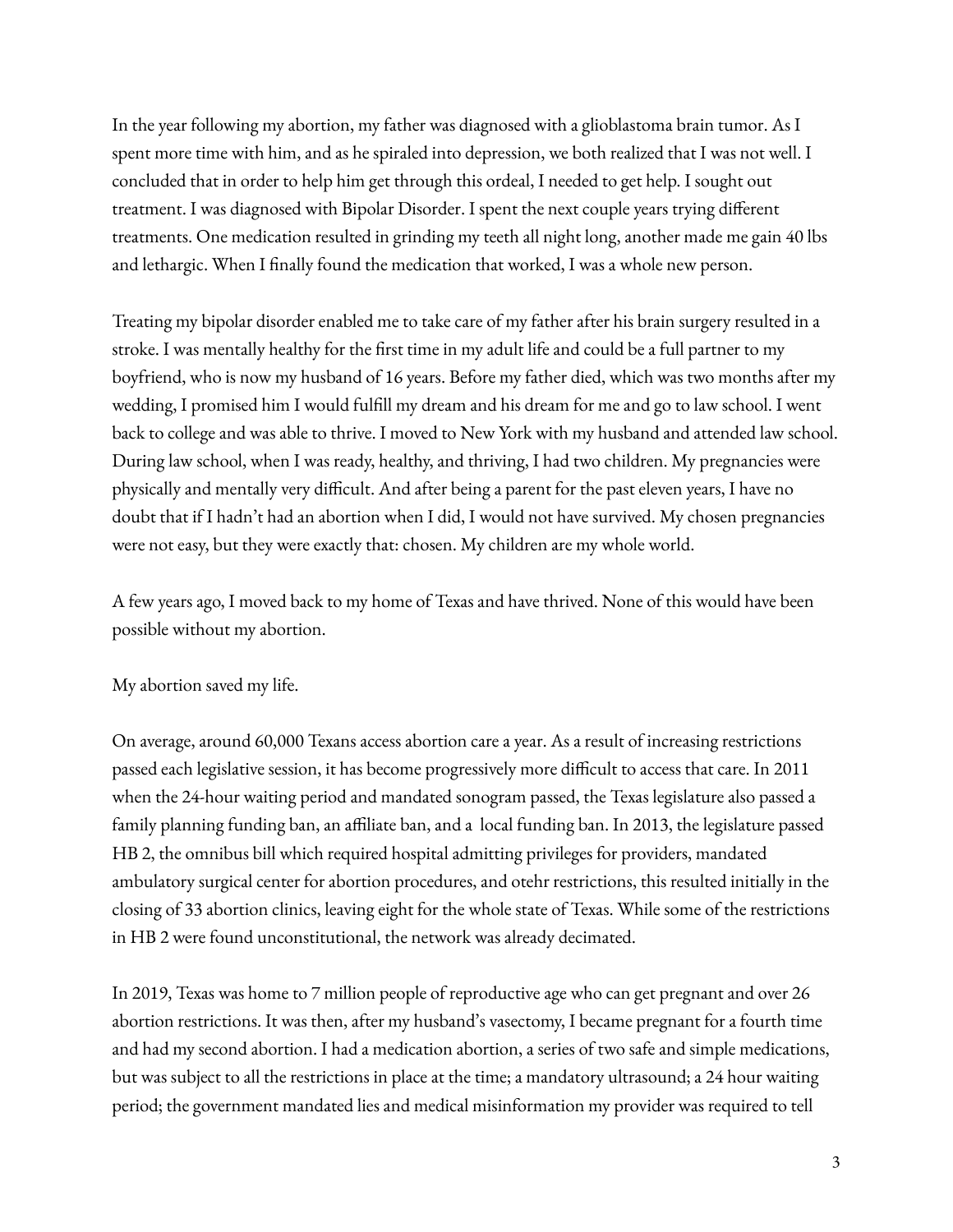In the year following my abortion, my father was diagnosed with a glioblastoma brain tumor. As I spent more time with him, and as he spiraled into depression, we both realized that I was not well. I concluded that in order to help him get through this ordeal, I needed to get help. I sought out treatment. I was diagnosed with Bipolar Disorder. I spent the next couple years trying different treatments. One medication resulted in grinding my teeth all night long, another made me gain 40 lbs and lethargic. When I finally found the medication that worked, I was a whole new person.

Treating my bipolar disorder enabled me to take care of my father after his brain surgery resulted in a stroke. I was mentally healthy for the first time in my adult life and could be a full partner to my boyfriend, who is now my husband of 16 years. Before my father died, which was two months after my wedding, I promised him I would fulfill my dream and his dream for me and go to law school. I went back to college and was able to thrive. I moved to New York with my husband and attended law school. During law school, when I was ready, healthy, and thriving, I had two children. My pregnancies were physically and mentally very difficult. And after being a parent for the past eleven years, I have no doubt that if I hadn't had an abortion when I did, I would not have survived. My chosen pregnancies were not easy, but they were exactly that: chosen. My children are my whole world.

A few years ago, I moved back to my home of Texas and have thrived. None of this would have been possible without my abortion.

## My abortion saved my life.

On average, around 60,000 Texans access abortion care a year. As a result of increasing restrictions passed each legislative session, it has become progressively more difficult to access that care. In 2011 when the 24-hour waiting period and mandated sonogram passed, the Texas legislature also passed a family planning funding ban, an affiliate ban, and a local funding ban. In 2013, the legislature passed HB 2, the omnibus bill which required hospital admitting privileges for providers, mandated ambulatory surgical center for abortion procedures, and otehr restrictions, this resulted initially in the closing of 33 abortion clinics, leaving eight for the whole state of Texas. While some of the restrictions in HB 2 were found unconstitutional, the network was already decimated.

In 2019, Texas was home to 7 million people of reproductive age who can get pregnant and over 26 abortion restrictions. It was then, after my husband's vasectomy, I became pregnant for a fourth time and had my second abortion. I had a medication abortion, a series of two safe and simple medications, but was subject to all the restrictions in place at the time; a mandatory ultrasound; a 24 hour waiting period; the government mandated lies and medical misinformation my provider was required to tell